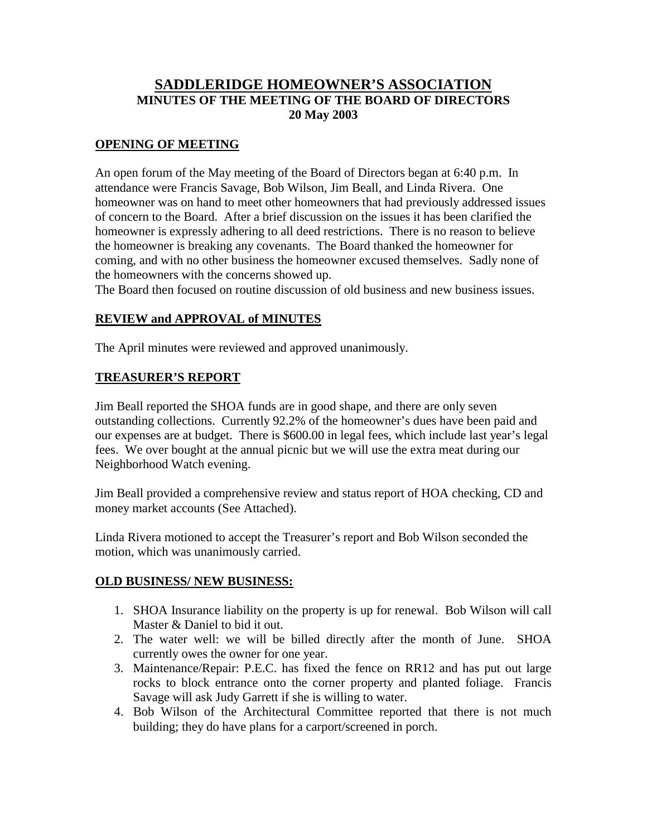# **SADDLERIDGE HOMEOWNER'S ASSOCIATION MINUTES OF THE MEETING OF THE BOARD OF DIRECTORS 20 May 2003**

### **OPENING OF MEETING**

An open forum of the May meeting of the Board of Directors began at 6:40 p.m. In attendance were Francis Savage, Bob Wilson, Jim Beall, and Linda Rivera. One homeowner was on hand to meet other homeowners that had previously addressed issues of concern to the Board. After a brief discussion on the issues it has been clarified the homeowner is expressly adhering to all deed restrictions. There is no reason to believe the homeowner is breaking any covenants. The Board thanked the homeowner for coming, and with no other business the homeowner excused themselves. Sadly none of the homeowners with the concerns showed up.

The Board then focused on routine discussion of old business and new business issues.

#### **REVIEW and APPROVAL of MINUTES**

The April minutes were reviewed and approved unanimously.

#### **TREASURER'S REPORT**

Jim Beall reported the SHOA funds are in good shape, and there are only seven outstanding collections. Currently 92.2% of the homeowner's dues have been paid and our expenses are at budget. There is \$600.00 in legal fees, which include last year's legal fees. We over bought at the annual picnic but we will use the extra meat during our Neighborhood Watch evening.

Jim Beall provided a comprehensive review and status report of HOA checking, CD and money market accounts (See Attached).

Linda Rivera motioned to accept the Treasurer's report and Bob Wilson seconded the motion, which was unanimously carried.

#### **OLD BUSINESS/ NEW BUSINESS:**

- 1. SHOA Insurance liability on the property is up for renewal. Bob Wilson will call Master & Daniel to bid it out.
- 2. The water well: we will be billed directly after the month of June. SHOA currently owes the owner for one year.
- 3. Maintenance/Repair: P.E.C. has fixed the fence on RR12 and has put out large rocks to block entrance onto the corner property and planted foliage. Francis Savage will ask Judy Garrett if she is willing to water.
- 4. Bob Wilson of the Architectural Committee reported that there is not much building; they do have plans for a carport/screened in porch.